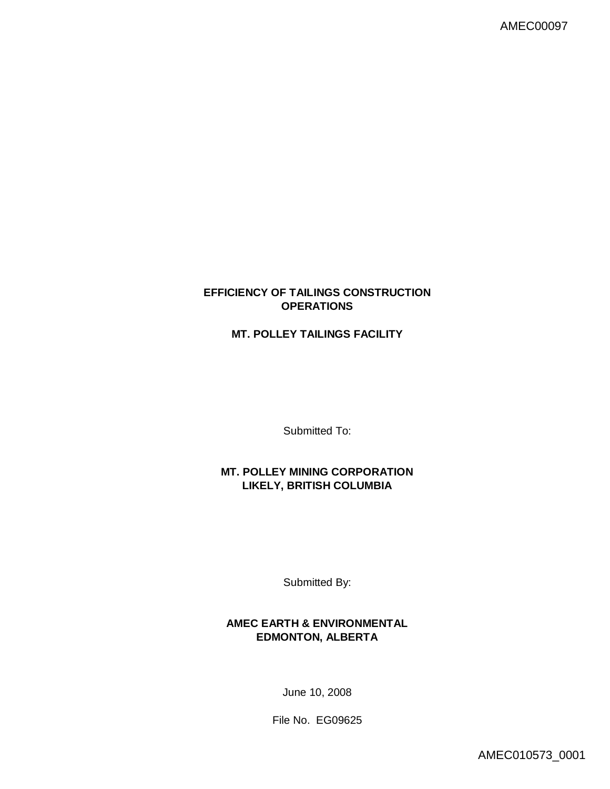## **EFFICIENCY OF TAILINGS CONSTRUCTION OPERATIONS**

# **MT. POLLEY TAILINGS FACILITY**

Submitted To:

**MT. POLLEY MINING CORPORATION LIKELY, BRITISH COLUMBIA**

Submitted By:

**AMEC EARTH & ENVIRONMENTAL EDMONTON, ALBERTA**

June 10, 2008

File No. EG09625

AMEC010573\_0001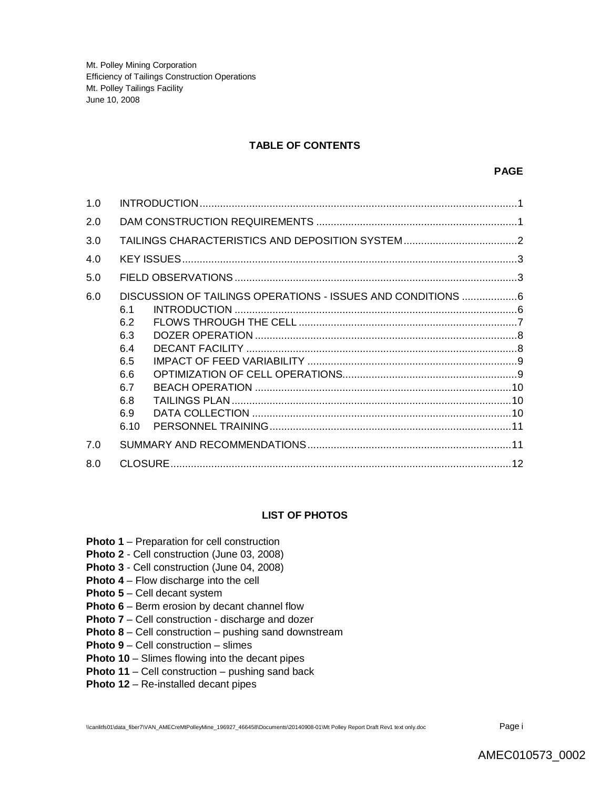### **TABLE OF CONTENTS**

| 1.0 |                                                                                                                                    |
|-----|------------------------------------------------------------------------------------------------------------------------------------|
| 2.0 |                                                                                                                                    |
| 3.0 |                                                                                                                                    |
| 4.0 |                                                                                                                                    |
| 5.0 |                                                                                                                                    |
| 6.0 | DISCUSSION OF TAILINGS OPERATIONS - ISSUES AND CONDITIONS 6<br>6.1<br>6.2<br>6.3<br>6.4<br>6.5<br>6.6<br>6.7<br>6.8<br>6.9<br>6.10 |
| 7.0 |                                                                                                                                    |
| 8.0 |                                                                                                                                    |

### **LIST OF PHOTOS**

- **Photo 1** Preparation for cell construction
- **Photo 2**  Cell construction (June 03, 2008)
- **Photo 3** Cell construction (June 04, 2008)
- **Photo 4** Flow discharge into the cell
- **Photo 5** Cell decant system
- **Photo 6** Berm erosion by decant channel flow
- **Photo 7** Cell construction discharge and dozer
- **Photo 8** Cell construction pushing sand downstream
- **Photo 9** Cell construction slimes
- **Photo 10** Slimes flowing into the decant pipes
- **Photo 11** Cell construction pushing sand back
- **Photo 12** Re-installed decant pipes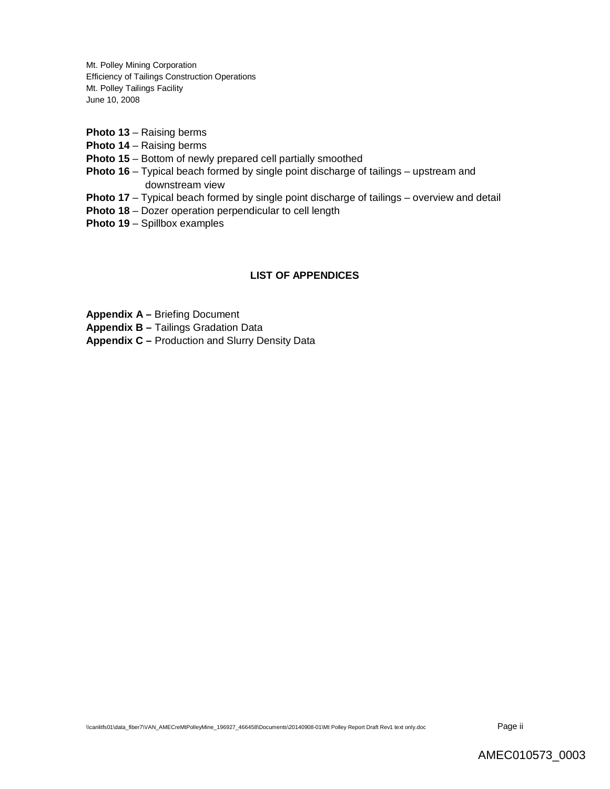- **Photo 13** Raising berms
- **Photo 14** Raising berms
- **Photo 15** Bottom of newly prepared cell partially smoothed
- **Photo 16** Typical beach formed by single point discharge of tailings upstream and downstream view
- **Photo 17** Typical beach formed by single point discharge of tailings overview and detail
- **Photo 18** Dozer operation perpendicular to cell length
- **Photo 19** Spillbox examples

### **LIST OF APPENDICES**

**Appendix A –** Briefing Document

**Appendix B –** Tailings Gradation Data

**Appendix C –** Production and Slurry Density Data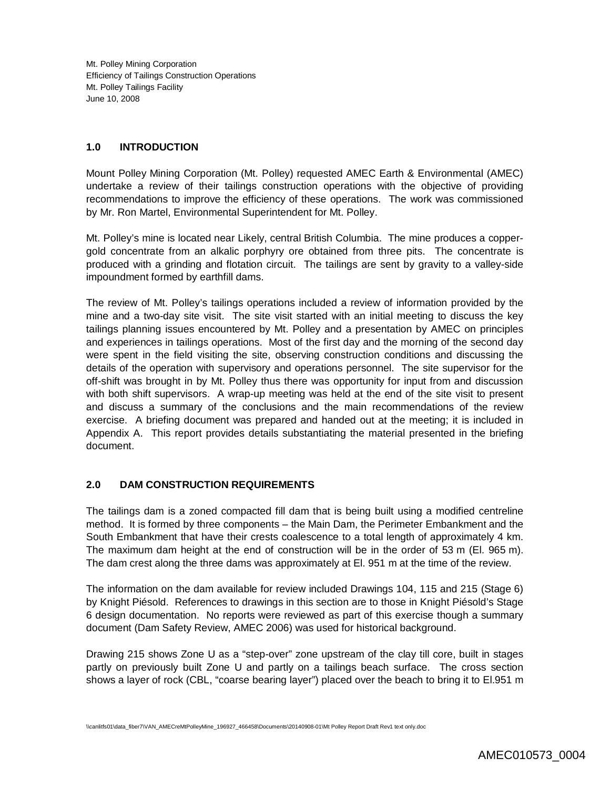### **1.0 INTRODUCTION**

Mount Polley Mining Corporation (Mt. Polley) requested AMEC Earth & Environmental (AMEC) undertake a review of their tailings construction operations with the objective of providing recommendations to improve the efficiency of these operations. The work was commissioned by Mr. Ron Martel, Environmental Superintendent for Mt. Polley.

Mt. Polley's mine is located near Likely, central British Columbia. The mine produces a coppergold concentrate from an alkalic porphyry ore obtained from three pits. The concentrate is produced with a grinding and flotation circuit. The tailings are sent by gravity to a valley-side impoundment formed by earthfill dams.

The review of Mt. Polley's tailings operations included a review of information provided by the mine and a two-day site visit. The site visit started with an initial meeting to discuss the key tailings planning issues encountered by Mt. Polley and a presentation by AMEC on principles and experiences in tailings operations. Most of the first day and the morning of the second day were spent in the field visiting the site, observing construction conditions and discussing the details of the operation with supervisory and operations personnel. The site supervisor for the off-shift was brought in by Mt. Polley thus there was opportunity for input from and discussion with both shift supervisors. A wrap-up meeting was held at the end of the site visit to present and discuss a summary of the conclusions and the main recommendations of the review exercise. A briefing document was prepared and handed out at the meeting; it is included in Appendix A. This report provides details substantiating the material presented in the briefing document.

## **2.0 DAM CONSTRUCTION REQUIREMENTS**

The tailings dam is a zoned compacted fill dam that is being built using a modified centreline method. It is formed by three components – the Main Dam, the Perimeter Embankment and the South Embankment that have their crests coalescence to a total length of approximately 4 km. The maximum dam height at the end of construction will be in the order of 53 m (El. 965 m). The dam crest along the three dams was approximately at El. 951 m at the time of the review.

The information on the dam available for review included Drawings 104, 115 and 215 (Stage 6) by Knight Piésold. References to drawings in this section are to those in Knight Piésold's Stage 6 design documentation. No reports were reviewed as part of this exercise though a summary document (Dam Safety Review, AMEC 2006) was used for historical background.

Drawing 215 shows Zone U as a "step-over" zone upstream of the clay till core, built in stages partly on previously built Zone U and partly on a tailings beach surface. The cross section shows a layer of rock (CBL, "coarse bearing layer") placed over the beach to bring it to El.951 m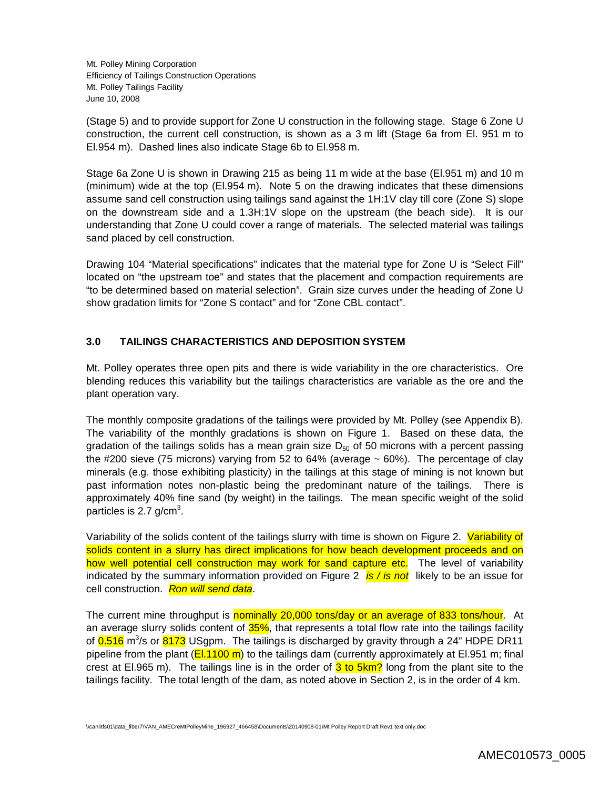(Stage 5) and to provide support for Zone U construction in the following stage. Stage 6 Zone U construction, the current cell construction, is shown as a 3 m lift (Stage 6a from El. 951 m to El.954 m). Dashed lines also indicate Stage 6b to El.958 m.

Stage 6a Zone U is shown in Drawing 215 as being 11 m wide at the base (El.951 m) and 10 m (minimum) wide at the top (El.954 m). Note 5 on the drawing indicates that these dimensions assume sand cell construction using tailings sand against the 1H:1V clay till core (Zone S) slope on the downstream side and a 1.3H:1V slope on the upstream (the beach side). It is our understanding that Zone U could cover a range of materials. The selected material was tailings sand placed by cell construction.

Drawing 104 "Material specifications" indicates that the material type for Zone U is "Select Fill" located on "the upstream toe" and states that the placement and compaction requirements are "to be determined based on material selection". Grain size curves under the heading of Zone U show gradation limits for "Zone S contact" and for "Zone CBL contact".

### **3.0 TAILINGS CHARACTERISTICS AND DEPOSITION SYSTEM**

Mt. Polley operates three open pits and there is wide variability in the ore characteristics. Ore blending reduces this variability but the tailings characteristics are variable as the ore and the plant operation vary.

The monthly composite gradations of the tailings were provided by Mt. Polley (see Appendix B). The variability of the monthly gradations is shown on Figure 1. Based on these data, the gradation of the tailings solids has a mean grain size  $D_{50}$  of 50 microns with a percent passing the #200 sieve (75 microns) varying from 52 to 64% (average  $\sim$  60%). The percentage of clay minerals (e.g. those exhibiting plasticity) in the tailings at this stage of mining is not known but past information notes non-plastic being the predominant nature of the tailings. There is approximately 40% fine sand (by weight) in the tailings. The mean specific weight of the solid particles is 2.7 g/cm<sup>3</sup>.

Variability of the solids content of the tailings slurry with time is shown on Figure 2. Variability of solids content in a slurry has direct implications for how beach development proceeds and on how well potential cell construction may work for sand capture etc. The level of variability indicated by the summary information provided on Figure 2 *is / is not* likely to be an issue for cell construction. *Ron will send data*.

The current mine throughput is nominally 20,000 tons/day or an average of 833 tons/hour. At an average slurry solids content of 35%, that represents a total flow rate into the tailings facility of 0.516 m<sup>3</sup>/s or 8173 USgpm. The tailings is discharged by gravity through a 24" HDPE DR11 pipeline from the plant ( $E1.1100 \text{ m}$ ) to the tailings dam (currently approximately at El.951 m; final crest at El.965 m). The tailings line is in the order of  $3$  to  $5km$ ? long from the plant site to the tailings facility. The total length of the dam, as noted above in Section 2, is in the order of 4 km.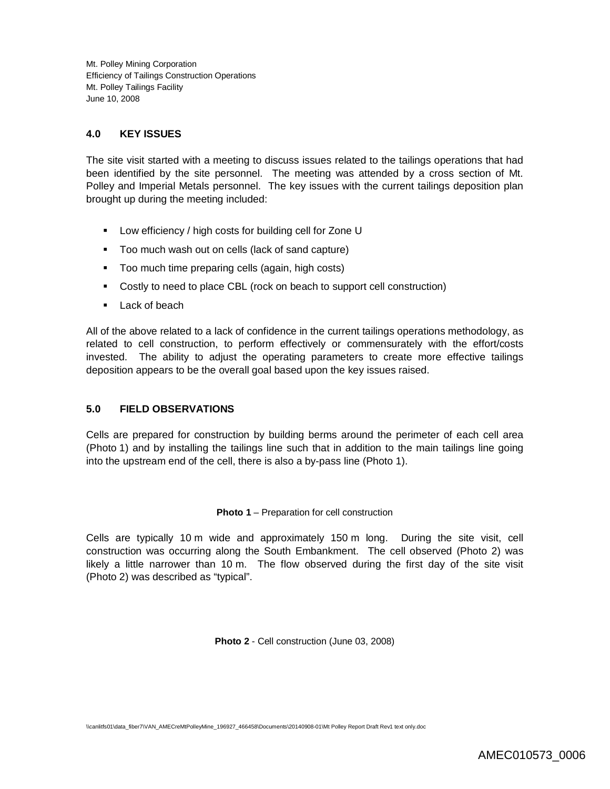### **4.0 KEY ISSUES**

The site visit started with a meeting to discuss issues related to the tailings operations that had been identified by the site personnel. The meeting was attended by a cross section of Mt. Polley and Imperial Metals personnel. The key issues with the current tailings deposition plan brought up during the meeting included:

- **Low efficiency / high costs for building cell for Zone U**
- Too much wash out on cells (lack of sand capture)
- **Too much time preparing cells (again, high costs)**
- Costly to need to place CBL (rock on beach to support cell construction)
- **Lack of beach**

All of the above related to a lack of confidence in the current tailings operations methodology, as related to cell construction, to perform effectively or commensurately with the effort/costs invested. The ability to adjust the operating parameters to create more effective tailings deposition appears to be the overall goal based upon the key issues raised.

### **5.0 FIELD OBSERVATIONS**

Cells are prepared for construction by building berms around the perimeter of each cell area (Photo 1) and by installing the tailings line such that in addition to the main tailings line going into the upstream end of the cell, there is also a by-pass line (Photo 1).

#### **Photo 1** – Preparation for cell construction

Cells are typically 10 m wide and approximately 150 m long. During the site visit, cell construction was occurring along the South Embankment. The cell observed (Photo 2) was likely a little narrower than 10 m. The flow observed during the first day of the site visit (Photo 2) was described as "typical".

**Photo 2** - Cell construction (June 03, 2008)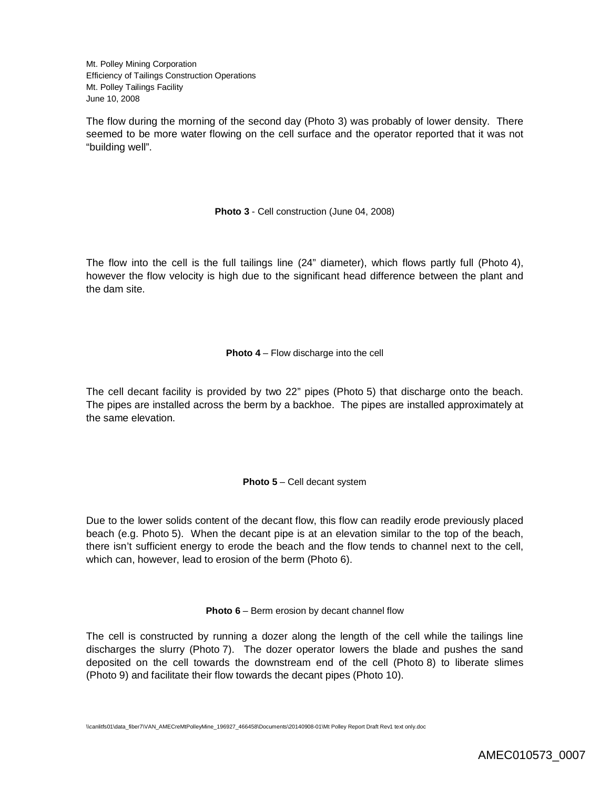The flow during the morning of the second day (Photo 3) was probably of lower density. There seemed to be more water flowing on the cell surface and the operator reported that it was not "building well".

**Photo 3** - Cell construction (June 04, 2008)

The flow into the cell is the full tailings line (24" diameter), which flows partly full (Photo 4), however the flow velocity is high due to the significant head difference between the plant and the dam site.

**Photo 4** – Flow discharge into the cell

The cell decant facility is provided by two 22" pipes (Photo 5) that discharge onto the beach. The pipes are installed across the berm by a backhoe. The pipes are installed approximately at the same elevation.

**Photo 5** – Cell decant system

Due to the lower solids content of the decant flow, this flow can readily erode previously placed beach (e.g. Photo 5). When the decant pipe is at an elevation similar to the top of the beach, there isn't sufficient energy to erode the beach and the flow tends to channel next to the cell, which can, however, lead to erosion of the berm (Photo 6).

**Photo 6** – Berm erosion by decant channel flow

The cell is constructed by running a dozer along the length of the cell while the tailings line discharges the slurry (Photo 7). The dozer operator lowers the blade and pushes the sand deposited on the cell towards the downstream end of the cell (Photo 8) to liberate slimes (Photo 9) and facilitate their flow towards the decant pipes (Photo 10).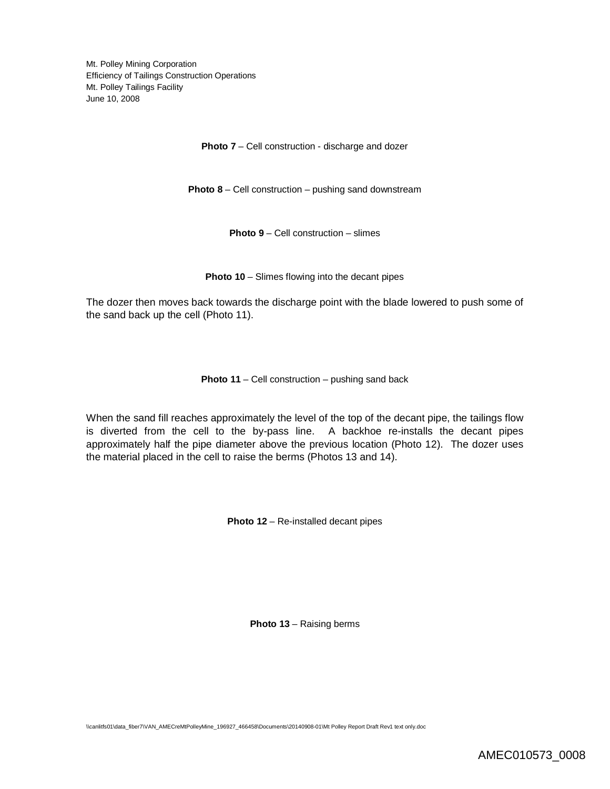**Photo 7** – Cell construction - discharge and dozer

**Photo 8** – Cell construction – pushing sand downstream

**Photo 9** – Cell construction – slimes

**Photo 10** – Slimes flowing into the decant pipes

The dozer then moves back towards the discharge point with the blade lowered to push some of the sand back up the cell (Photo 11).

**Photo 11** – Cell construction – pushing sand back

When the sand fill reaches approximately the level of the top of the decant pipe, the tailings flow is diverted from the cell to the by-pass line. A backhoe re-installs the decant pipes approximately half the pipe diameter above the previous location (Photo 12). The dozer uses the material placed in the cell to raise the berms (Photos 13 and 14).

**Photo 12** – Re-installed decant pipes

**Photo 13** – Raising berms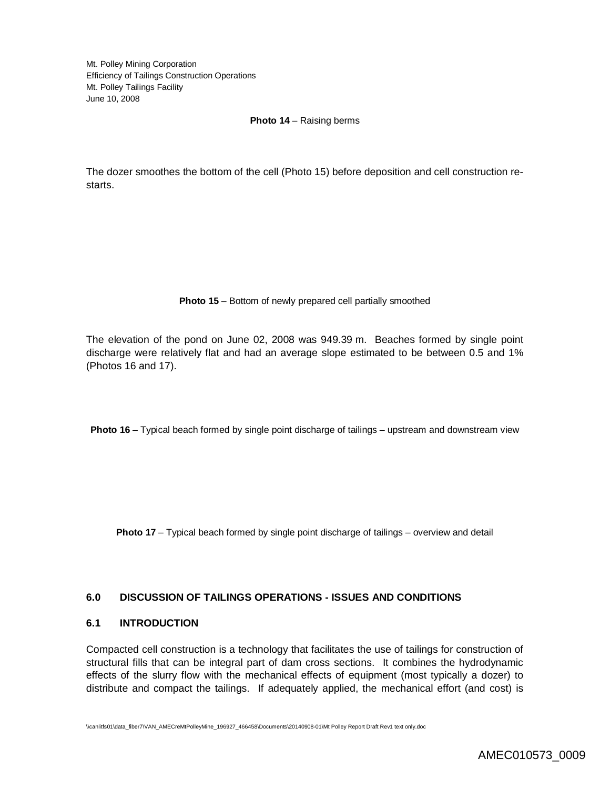#### **Photo 14** – Raising berms

The dozer smoothes the bottom of the cell (Photo 15) before deposition and cell construction restarts.

#### **Photo 15** – Bottom of newly prepared cell partially smoothed

The elevation of the pond on June 02, 2008 was 949.39 m. Beaches formed by single point discharge were relatively flat and had an average slope estimated to be between 0.5 and 1% (Photos 16 and 17).

**Photo 16** – Typical beach formed by single point discharge of tailings – upstream and downstream view

**Photo 17** – Typical beach formed by single point discharge of tailings – overview and detail

### **6.0 DISCUSSION OF TAILINGS OPERATIONS - ISSUES AND CONDITIONS**

#### **6.1 INTRODUCTION**

Compacted cell construction is a technology that facilitates the use of tailings for construction of structural fills that can be integral part of dam cross sections. It combines the hydrodynamic effects of the slurry flow with the mechanical effects of equipment (most typically a dozer) to distribute and compact the tailings. If adequately applied, the mechanical effort (and cost) is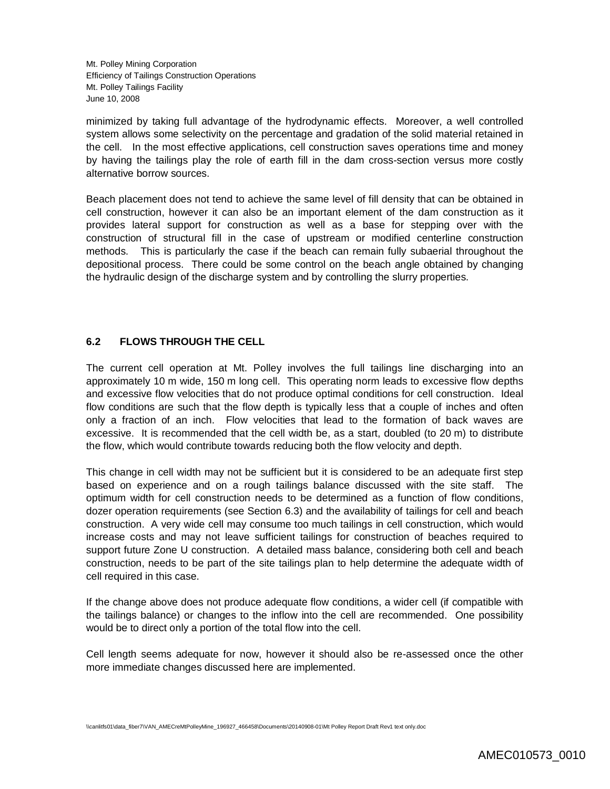minimized by taking full advantage of the hydrodynamic effects. Moreover, a well controlled system allows some selectivity on the percentage and gradation of the solid material retained in the cell. In the most effective applications, cell construction saves operations time and money by having the tailings play the role of earth fill in the dam cross-section versus more costly alternative borrow sources.

Beach placement does not tend to achieve the same level of fill density that can be obtained in cell construction, however it can also be an important element of the dam construction as it provides lateral support for construction as well as a base for stepping over with the construction of structural fill in the case of upstream or modified centerline construction methods. This is particularly the case if the beach can remain fully subaerial throughout the depositional process. There could be some control on the beach angle obtained by changing the hydraulic design of the discharge system and by controlling the slurry properties.

### **6.2 FLOWS THROUGH THE CELL**

The current cell operation at Mt. Polley involves the full tailings line discharging into an approximately 10 m wide, 150 m long cell. This operating norm leads to excessive flow depths and excessive flow velocities that do not produce optimal conditions for cell construction. Ideal flow conditions are such that the flow depth is typically less that a couple of inches and often only a fraction of an inch. Flow velocities that lead to the formation of back waves are excessive. It is recommended that the cell width be, as a start, doubled (to 20 m) to distribute the flow, which would contribute towards reducing both the flow velocity and depth.

This change in cell width may not be sufficient but it is considered to be an adequate first step based on experience and on a rough tailings balance discussed with the site staff. The optimum width for cell construction needs to be determined as a function of flow conditions, dozer operation requirements (see Section 6.3) and the availability of tailings for cell and beach construction. A very wide cell may consume too much tailings in cell construction, which would increase costs and may not leave sufficient tailings for construction of beaches required to support future Zone U construction. A detailed mass balance, considering both cell and beach construction, needs to be part of the site tailings plan to help determine the adequate width of cell required in this case.

If the change above does not produce adequate flow conditions, a wider cell (if compatible with the tailings balance) or changes to the inflow into the cell are recommended. One possibility would be to direct only a portion of the total flow into the cell.

Cell length seems adequate for now, however it should also be re-assessed once the other more immediate changes discussed here are implemented.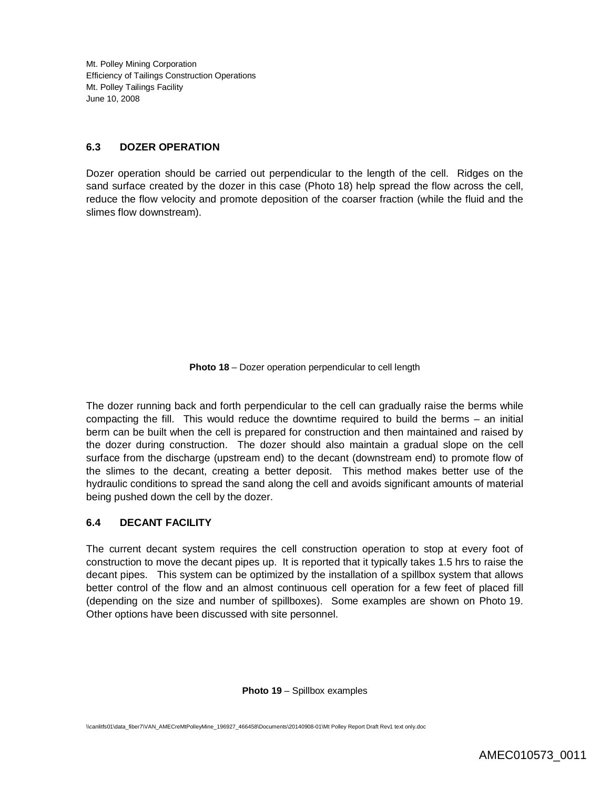#### **6.3 DOZER OPERATION**

Dozer operation should be carried out perpendicular to the length of the cell. Ridges on the sand surface created by the dozer in this case (Photo 18) help spread the flow across the cell, reduce the flow velocity and promote deposition of the coarser fraction (while the fluid and the slimes flow downstream).

**Photo 18** – Dozer operation perpendicular to cell length

The dozer running back and forth perpendicular to the cell can gradually raise the berms while compacting the fill. This would reduce the downtime required to build the berms – an initial berm can be built when the cell is prepared for construction and then maintained and raised by the dozer during construction. The dozer should also maintain a gradual slope on the cell surface from the discharge (upstream end) to the decant (downstream end) to promote flow of the slimes to the decant, creating a better deposit. This method makes better use of the hydraulic conditions to spread the sand along the cell and avoids significant amounts of material being pushed down the cell by the dozer.

### **6.4 DECANT FACILITY**

The current decant system requires the cell construction operation to stop at every foot of construction to move the decant pipes up. It is reported that it typically takes 1.5 hrs to raise the decant pipes. This system can be optimized by the installation of a spillbox system that allows better control of the flow and an almost continuous cell operation for a few feet of placed fill (depending on the size and number of spillboxes). Some examples are shown on Photo 19. Other options have been discussed with site personnel.

**Photo 19** – Spillbox examples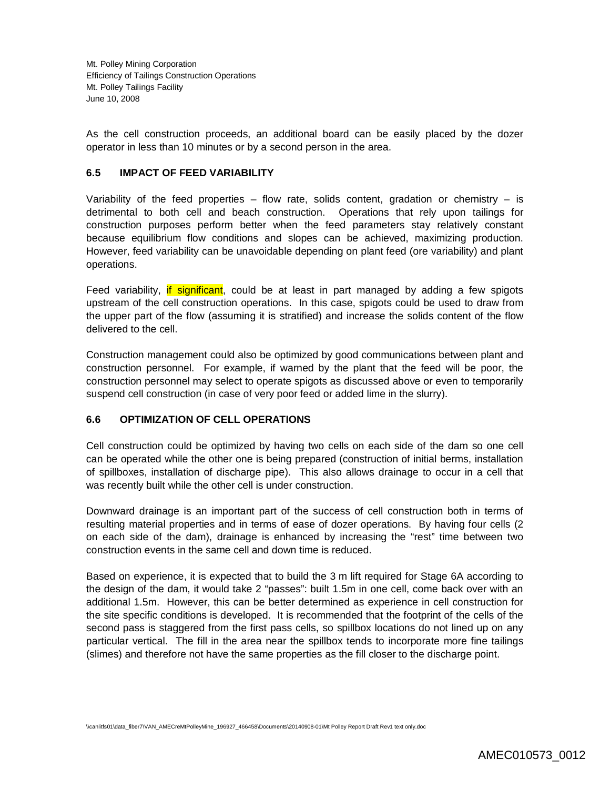As the cell construction proceeds, an additional board can be easily placed by the dozer operator in less than 10 minutes or by a second person in the area.

#### **6.5 IMPACT OF FEED VARIABILITY**

Variability of the feed properties – flow rate, solids content, gradation or chemistry – is detrimental to both cell and beach construction. Operations that rely upon tailings for construction purposes perform better when the feed parameters stay relatively constant because equilibrium flow conditions and slopes can be achieved, maximizing production. However, feed variability can be unavoidable depending on plant feed (ore variability) and plant operations.

Feed variability, if significant, could be at least in part managed by adding a few spigots upstream of the cell construction operations. In this case, spigots could be used to draw from the upper part of the flow (assuming it is stratified) and increase the solids content of the flow delivered to the cell.

Construction management could also be optimized by good communications between plant and construction personnel. For example, if warned by the plant that the feed will be poor, the construction personnel may select to operate spigots as discussed above or even to temporarily suspend cell construction (in case of very poor feed or added lime in the slurry).

### **6.6 OPTIMIZATION OF CELL OPERATIONS**

Cell construction could be optimized by having two cells on each side of the dam so one cell can be operated while the other one is being prepared (construction of initial berms, installation of spillboxes, installation of discharge pipe). This also allows drainage to occur in a cell that was recently built while the other cell is under construction.

Downward drainage is an important part of the success of cell construction both in terms of resulting material properties and in terms of ease of dozer operations. By having four cells (2 on each side of the dam), drainage is enhanced by increasing the "rest" time between two construction events in the same cell and down time is reduced.

Based on experience, it is expected that to build the 3 m lift required for Stage 6A according to the design of the dam, it would take 2 "passes": built 1.5m in one cell, come back over with an additional 1.5m. However, this can be better determined as experience in cell construction for the site specific conditions is developed. It is recommended that the footprint of the cells of the second pass is staggered from the first pass cells, so spillbox locations do not lined up on any particular vertical. The fill in the area near the spillbox tends to incorporate more fine tailings (slimes) and therefore not have the same properties as the fill closer to the discharge point.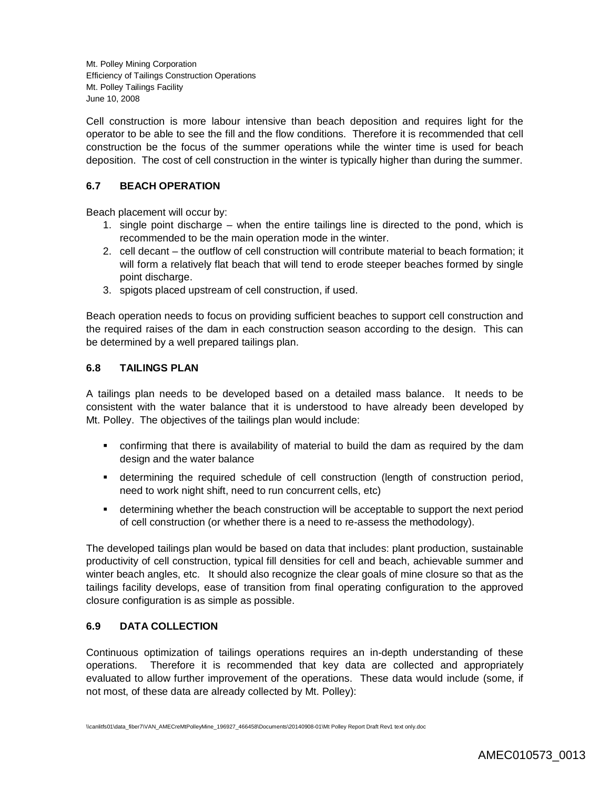Cell construction is more labour intensive than beach deposition and requires light for the operator to be able to see the fill and the flow conditions. Therefore it is recommended that cell construction be the focus of the summer operations while the winter time is used for beach deposition. The cost of cell construction in the winter is typically higher than during the summer.

## **6.7 BEACH OPERATION**

Beach placement will occur by:

- 1. single point discharge when the entire tailings line is directed to the pond, which is recommended to be the main operation mode in the winter.
- 2. cell decant the outflow of cell construction will contribute material to beach formation; it will form a relatively flat beach that will tend to erode steeper beaches formed by single point discharge.
- 3. spigots placed upstream of cell construction, if used.

Beach operation needs to focus on providing sufficient beaches to support cell construction and the required raises of the dam in each construction season according to the design. This can be determined by a well prepared tailings plan.

### **6.8 TAILINGS PLAN**

A tailings plan needs to be developed based on a detailed mass balance. It needs to be consistent with the water balance that it is understood to have already been developed by Mt. Polley. The objectives of the tailings plan would include:

- confirming that there is availability of material to build the dam as required by the dam design and the water balance
- determining the required schedule of cell construction (length of construction period, need to work night shift, need to run concurrent cells, etc)
- determining whether the beach construction will be acceptable to support the next period of cell construction (or whether there is a need to re-assess the methodology).

The developed tailings plan would be based on data that includes: plant production, sustainable productivity of cell construction, typical fill densities for cell and beach, achievable summer and winter beach angles, etc. It should also recognize the clear goals of mine closure so that as the tailings facility develops, ease of transition from final operating configuration to the approved closure configuration is as simple as possible.

### **6.9 DATA COLLECTION**

Continuous optimization of tailings operations requires an in-depth understanding of these operations. Therefore it is recommended that key data are collected and appropriately evaluated to allow further improvement of the operations. These data would include (some, if not most, of these data are already collected by Mt. Polley):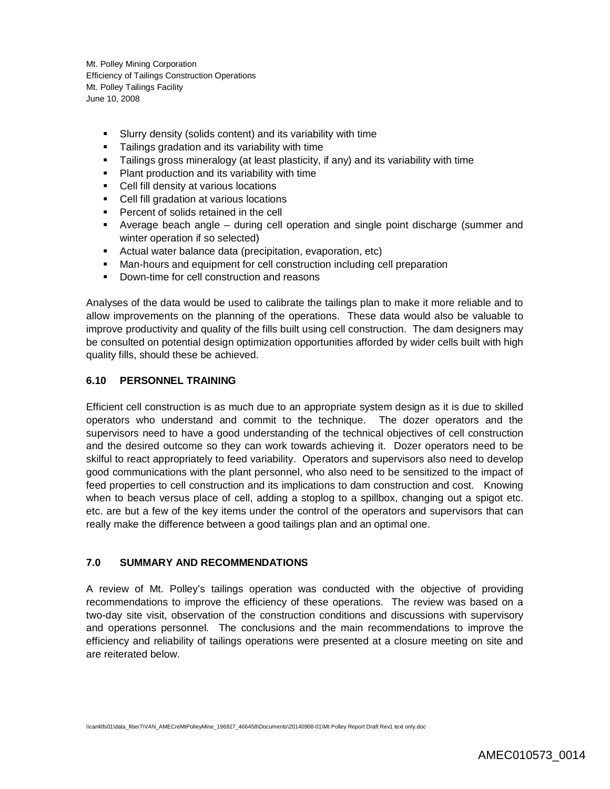- Slurry density (solids content) and its variability with time
- Tailings gradation and its variability with time
- Tailings gross mineralogy (at least plasticity, if any) and its variability with time
- **Plant production and its variability with time**
- Cell fill density at various locations
- Cell fill gradation at various locations
- **Percent of solids retained in the cell**
- Average beach angle during cell operation and single point discharge (summer and winter operation if so selected)
- Actual water balance data (precipitation, evaporation, etc)
- Man-hours and equipment for cell construction including cell preparation
- Down-time for cell construction and reasons

Analyses of the data would be used to calibrate the tailings plan to make it more reliable and to allow improvements on the planning of the operations. These data would also be valuable to improve productivity and quality of the fills built using cell construction. The dam designers may be consulted on potential design optimization opportunities afforded by wider cells built with high quality fills, should these be achieved.

## **6.10 PERSONNEL TRAINING**

Efficient cell construction is as much due to an appropriate system design as it is due to skilled operators who understand and commit to the technique. The dozer operators and the supervisors need to have a good understanding of the technical objectives of cell construction and the desired outcome so they can work towards achieving it. Dozer operators need to be skilful to react appropriately to feed variability. Operators and supervisors also need to develop good communications with the plant personnel, who also need to be sensitized to the impact of feed properties to cell construction and its implications to dam construction and cost. Knowing when to beach versus place of cell, adding a stoplog to a spillbox, changing out a spigot etc. etc. are but a few of the key items under the control of the operators and supervisors that can really make the difference between a good tailings plan and an optimal one.

#### **7.0 SUMMARY AND RECOMMENDATIONS**

A review of Mt. Polley's tailings operation was conducted with the objective of providing recommendations to improve the efficiency of these operations. The review was based on a two-day site visit, observation of the construction conditions and discussions with supervisory and operations personnel. The conclusions and the main recommendations to improve the efficiency and reliability of tailings operations were presented at a closure meeting on site and are reiterated below.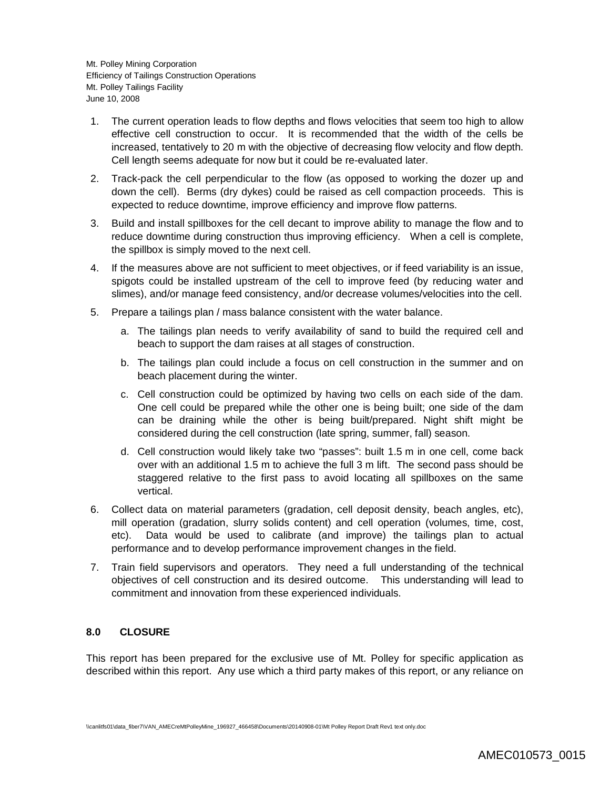- 1. The current operation leads to flow depths and flows velocities that seem too high to allow effective cell construction to occur. It is recommended that the width of the cells be increased, tentatively to 20 m with the objective of decreasing flow velocity and flow depth. Cell length seems adequate for now but it could be re-evaluated later.
- 2. Track-pack the cell perpendicular to the flow (as opposed to working the dozer up and down the cell). Berms (dry dykes) could be raised as cell compaction proceeds. This is expected to reduce downtime, improve efficiency and improve flow patterns.
- 3. Build and install spillboxes for the cell decant to improve ability to manage the flow and to reduce downtime during construction thus improving efficiency. When a cell is complete, the spillbox is simply moved to the next cell.
- 4. If the measures above are not sufficient to meet objectives, or if feed variability is an issue, spigots could be installed upstream of the cell to improve feed (by reducing water and slimes), and/or manage feed consistency, and/or decrease volumes/velocities into the cell.
- 5. Prepare a tailings plan / mass balance consistent with the water balance.
	- a. The tailings plan needs to verify availability of sand to build the required cell and beach to support the dam raises at all stages of construction.
	- b. The tailings plan could include a focus on cell construction in the summer and on beach placement during the winter.
	- c. Cell construction could be optimized by having two cells on each side of the dam. One cell could be prepared while the other one is being built; one side of the dam can be draining while the other is being built/prepared. Night shift might be considered during the cell construction (late spring, summer, fall) season.
	- d. Cell construction would likely take two "passes": built 1.5 m in one cell, come back over with an additional 1.5 m to achieve the full 3 m lift. The second pass should be staggered relative to the first pass to avoid locating all spillboxes on the same vertical.
- 6. Collect data on material parameters (gradation, cell deposit density, beach angles, etc), mill operation (gradation, slurry solids content) and cell operation (volumes, time, cost, etc). Data would be used to calibrate (and improve) the tailings plan to actual performance and to develop performance improvement changes in the field.
- 7. Train field supervisors and operators. They need a full understanding of the technical objectives of cell construction and its desired outcome. This understanding will lead to commitment and innovation from these experienced individuals.

### **8.0 CLOSURE**

This report has been prepared for the exclusive use of Mt. Polley for specific application as described within this report. Any use which a third party makes of this report, or any reliance on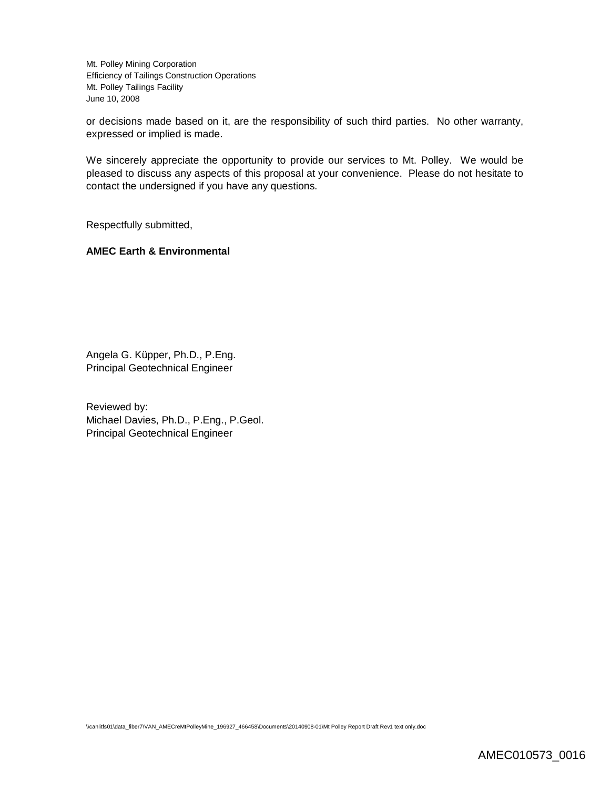or decisions made based on it, are the responsibility of such third parties. No other warranty, expressed or implied is made.

We sincerely appreciate the opportunity to provide our services to Mt. Polley. We would be pleased to discuss any aspects of this proposal at your convenience. Please do not hesitate to contact the undersigned if you have any questions.

Respectfully submitted,

#### **AMEC Earth & Environmental**

Angela G. Küpper, Ph.D., P.Eng. Principal Geotechnical Engineer

Reviewed by: Michael Davies, Ph.D., P.Eng., P.Geol. Principal Geotechnical Engineer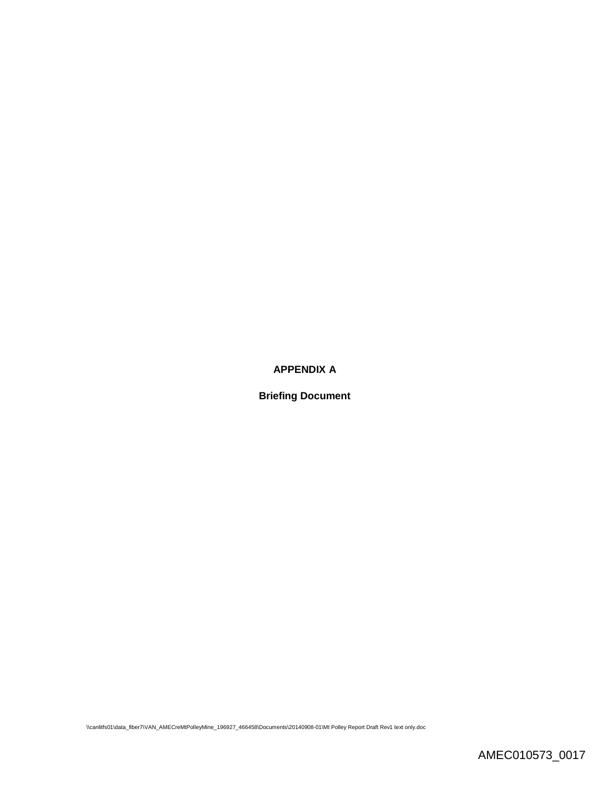## **APPENDIX A**

**Briefing Document**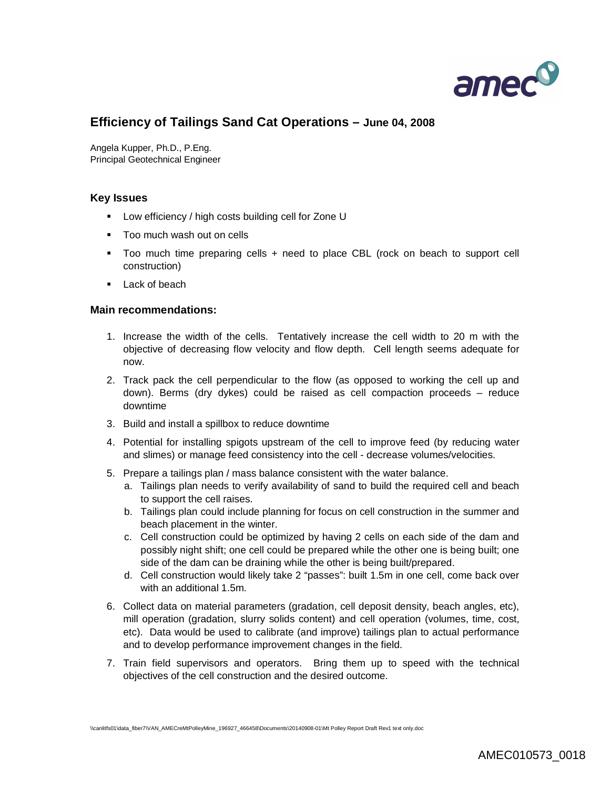

# **Efficiency of Tailings Sand Cat Operations – June 04, 2008**

Angela Kupper, Ph.D., P.Eng. Principal Geotechnical Engineer

#### **Key Issues**

- Low efficiency / high costs building cell for Zone U
- **Too much wash out on cells**
- Too much time preparing cells + need to place CBL (rock on beach to support cell construction)
- **Lack of beach**

#### **Main recommendations:**

- 1. Increase the width of the cells. Tentatively increase the cell width to 20 m with the objective of decreasing flow velocity and flow depth. Cell length seems adequate for now.
- 2. Track pack the cell perpendicular to the flow (as opposed to working the cell up and down). Berms (dry dykes) could be raised as cell compaction proceeds – reduce downtime
- 3. Build and install a spillbox to reduce downtime
- 4. Potential for installing spigots upstream of the cell to improve feed (by reducing water and slimes) or manage feed consistency into the cell - decrease volumes/velocities.
- 5. Prepare a tailings plan / mass balance consistent with the water balance.
	- a. Tailings plan needs to verify availability of sand to build the required cell and beach to support the cell raises.
	- b. Tailings plan could include planning for focus on cell construction in the summer and beach placement in the winter.
	- c. Cell construction could be optimized by having 2 cells on each side of the dam and possibly night shift; one cell could be prepared while the other one is being built; one side of the dam can be draining while the other is being built/prepared.
	- d. Cell construction would likely take 2 "passes": built 1.5m in one cell, come back over with an additional 1.5m.
- 6. Collect data on material parameters (gradation, cell deposit density, beach angles, etc), mill operation (gradation, slurry solids content) and cell operation (volumes, time, cost, etc). Data would be used to calibrate (and improve) tailings plan to actual performance and to develop performance improvement changes in the field.
- 7. Train field supervisors and operators. Bring them up to speed with the technical objectives of the cell construction and the desired outcome.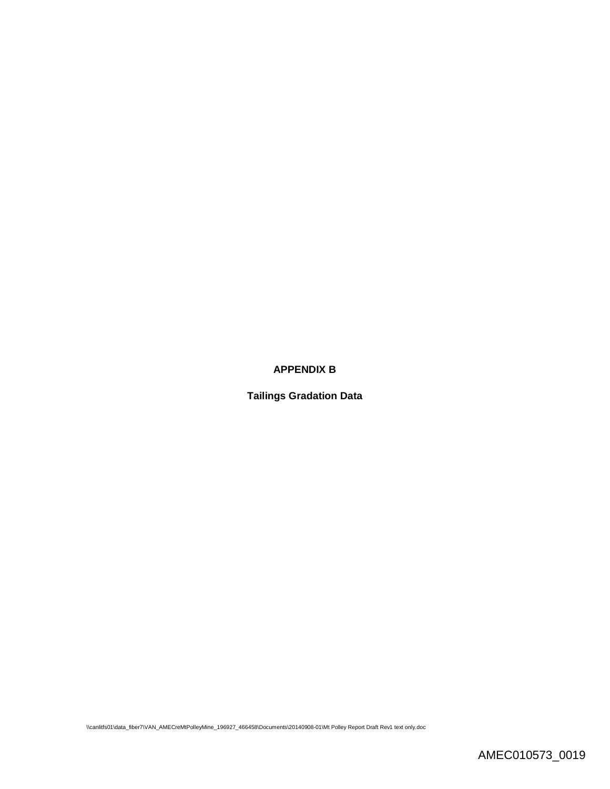### **APPENDIX B**

**Tailings Gradation Data**